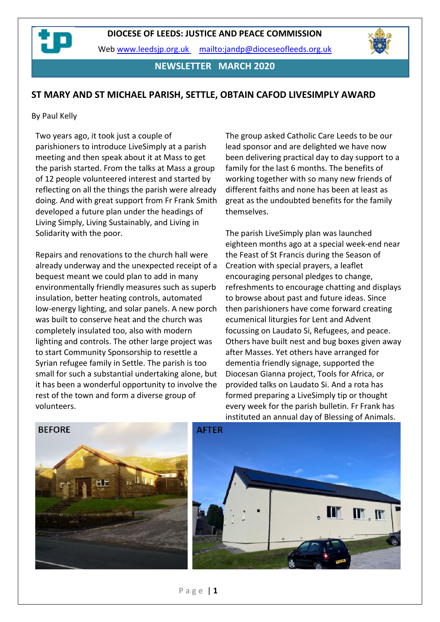Web [www.leedsjp.org.uk](http://www.leedsjp.org.uk/) <mailto:jandp@dioceseofleeds.org.uk>

**NEWSLETTER MARCH 2020**

#### **ST MARY AND ST MICHAEL PARISH, SETTLE, OBTAIN CAFOD LIVESIMPLY AWARD**

#### By Paul Kelly

Two years ago, it took just a couple of parishioners to introduce LiveSimply at a parish meeting and then speak about it at Mass to get the parish started. From the talks at Mass a group of 12 people volunteered interest and started by reflecting on all the things the parish were already doing. And with great support from Fr Frank Smith developed a future plan under the headings of Living Simply, Living Sustainably, and Living in Solidarity with the poor.

Repairs and renovations to the church hall were already underway and the unexpected receipt of a bequest meant we could plan to add in many environmentally friendly measures such as superb insulation, better heating controls, automated low-energy lighting, and solar panels. A new porch was built to conserve heat and the church was completely insulated too, also with modern lighting and controls. The other large project was to start Community Sponsorship to resettle a Syrian refugee family in Settle. The parish is too small for such a substantial undertaking alone, but it has been a wonderful opportunity to involve the rest of the town and form a diverse group of volunteers.

The group asked Catholic Care Leeds to be our lead sponsor and are delighted we have now been delivering practical day to day support to a family for the last 6 months. The benefits of working together with so many new friends of different faiths and none has been at least as great as the undoubted benefits for the family themselves.

The parish LiveSimply plan was launched eighteen months ago at a special week-end near the Feast of St Francis during the Season of Creation with special prayers, a leaflet encouraging personal pledges to change, refreshments to encourage chatting and displays to browse about past and future ideas. Since then parishioners have come forward creating ecumenical liturgies for Lent and Advent focussing on Laudato Si, Refugees, and peace. Others have built nest and bug boxes given away after Masses. Yet others have arranged for dementia friendly signage, supported the Diocesan Gianna project, Tools for Africa, or provided talks on Laudato Si. And a rota has formed preparing a LiveSimply tip or thought every week for the parish bulletin. Fr Frank has instituted an annual day of Blessing of Animals.



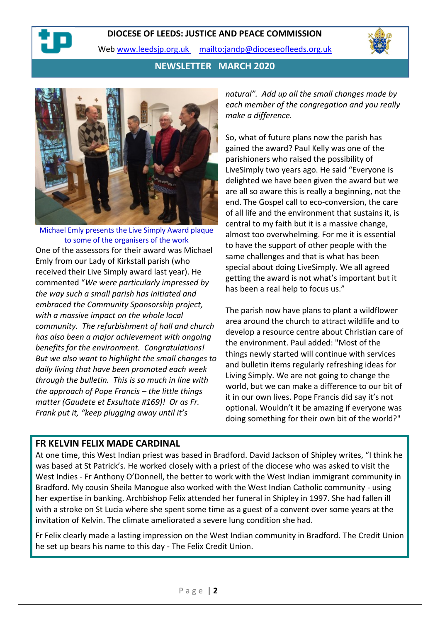#### **DIOCESE OF LEEDS: JUSTICE AND PEACE COMMISSION**

Web [www.leedsjp.org.uk](http://www.leedsjp.org.uk/) <mailto:jandp@dioceseofleeds.org.uk>



**NEWSLETTER MARCH 2020**



Michael Emly presents the Live Simply Award plaque to some of the organisers of the work One of the assessors for their award was Michael Emly from our Lady of Kirkstall parish (who received their Live Simply award last year). He commented "*We were particularly impressed by the way such a small parish has initiated and embraced the Community Sponsorship project, with a massive impact on the whole local community. The refurbishment of hall and church has also been a major achievement with ongoing benefits for the environment. Congratulations! But we also want to highlight the small changes to daily living that have been promoted each week through the bulletin. This is so much in line with the approach of Pope Francis – the little things matter (Gaudete et Exsultate #169)! Or as Fr. Frank put it, "keep plugging away until it's* 

*natural". Add up all the small changes made by each member of the congregation and you really make a difference.*

So, what of future plans now the parish has gained the award? Paul Kelly was one of the parishioners who raised the possibility of LiveSimply two years ago. He said "Everyone is delighted we have been given the award but we are all so aware this is really a beginning, not the end. The Gospel call to eco-conversion, the care of all life and the environment that sustains it, is central to my faith but it is a massive change, almost too overwhelming. For me it is essential to have the support of other people with the same challenges and that is what has been special about doing LiveSimply. We all agreed getting the award is not what's important but it has been a real help to focus us."

The parish now have plans to plant a wildflower area around the church to attract wildlife and to develop a resource centre about Christian care of the environment. Paul added: "Most of the things newly started will continue with services and bulletin items regularly refreshing ideas for Living Simply. We are not going to change the world, but we can make a difference to our bit of it in our own lives. Pope Francis did say it's not optional. Wouldn't it be amazing if everyone was doing something for their own bit of the world?"

# **FR KELVIN FELIX MADE CARDINAL**

At one time, this West Indian priest was based in Bradford. David Jackson of Shipley writes, "I think he was based at St Patrick's. He worked closely with a priest of the diocese who was asked to visit the West Indies - Fr Anthony O'Donnell, the better to work with the West Indian immigrant community in Bradford. My cousin Sheila Manogue also worked with the West Indian Catholic community - using her expertise in banking. Archbishop Felix attended her funeral in Shipley in 1997. She had fallen ill with a stroke on St Lucia where she spent some time as a guest of a convent over some years at the invitation of Kelvin. The climate ameliorated a severe lung condition she had.

Fr Felix clearly made a lasting impression on the West Indian community in Bradford. The Credit Union he set up bears his name to this day - The Felix Credit Union.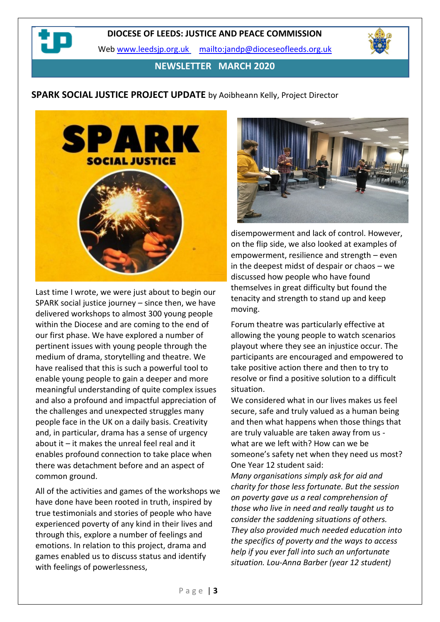Web [www.leedsjp.org.uk](http://www.leedsjp.org.uk/) <mailto:jandp@dioceseofleeds.org.uk>

**NEWSLETTER MARCH 2020**

#### **SPARK SOCIAL JUSTICE PROJECT UPDATE** by Aoibheann Kelly, Project Director



Last time I wrote, we were just about to begin our SPARK social justice journey – since then, we have delivered workshops to almost 300 young people within the Diocese and are coming to the end of our first phase. We have explored a number of pertinent issues with young people through the medium of drama, storytelling and theatre. We have realised that this is such a powerful tool to enable young people to gain a deeper and more meaningful understanding of quite complex issues and also a profound and impactful appreciation of the challenges and unexpected struggles many people face in the UK on a daily basis. Creativity and, in particular, drama has a sense of urgency about it – it makes the unreal feel real and it enables profound connection to take place when there was detachment before and an aspect of common ground.

All of the activities and games of the workshops we have done have been rooted in truth, inspired by true testimonials and stories of people who have experienced poverty of any kind in their lives and through this, explore a number of feelings and emotions. In relation to this project, drama and games enabled us to discuss status and identify with feelings of powerlessness,



disempowerment and lack of control. However, on the flip side, we also looked at examples of empowerment, resilience and strength – even in the deepest midst of despair or chaos – we discussed how people who have found themselves in great difficulty but found the tenacity and strength to stand up and keep moving.

Forum theatre was particularly effective at allowing the young people to watch scenarios playout where they see an injustice occur. The participants are encouraged and empowered to take positive action there and then to try to resolve or find a positive solution to a difficult situation.

We considered what in our lives makes us feel secure, safe and truly valued as a human being and then what happens when those things that are truly valuable are taken away from us what are we left with? How can we be someone's safety net when they need us most? One Year 12 student said:

*Many organisations simply ask for aid and charity for those less fortunate. But the session on poverty gave us a real comprehension of those who live in need and really taught us to consider the saddening situations of others. They also provided much needed education into the specifics of poverty and the ways to access help if you ever fall into such an unfortunate situation. Lou-Anna Barber (year 12 student)*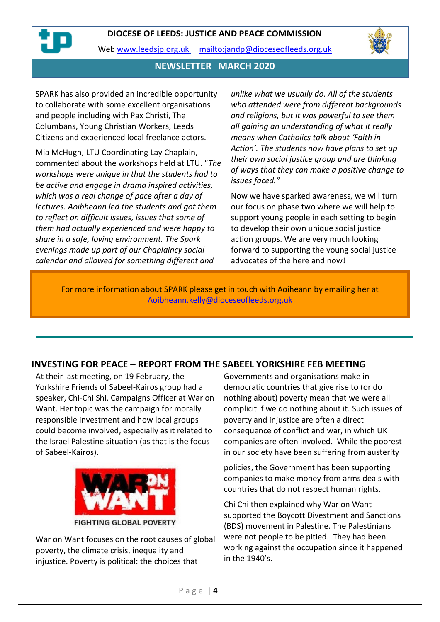

Web [www.leedsjp.org.uk](http://www.leedsjp.org.uk/) <mailto:jandp@dioceseofleeds.org.uk>



#### **NEWSLETTER MARCH 2020**

SPARK has also provided an incredible opportunity to collaborate with some excellent organisations and people including with Pax Christi, The Columbans, Young Christian Workers, Leeds Citizens and experienced local freelance actors.

Mia McHugh, LTU Coordinating Lay Chaplain, commented about the workshops held at LTU. "*The workshops were unique in that the students had to be active and engage in drama inspired activities, which was a real change of pace after a day of lectures. Aoibheann led the students and got them to reflect on difficult issues, issues that some of them had actually experienced and were happy to share in a safe, loving environment. The Spark evenings made up part of our Chaplaincy social calendar and allowed for something different and* 

*unlike what we usually do. All of the students who attended were from different backgrounds and religions, but it was powerful to see them all gaining an understanding of what it really means when Catholics talk about 'Faith in Action'. The students now have plans to set up their own social justice group and are thinking of ways that they can make a positive change to issues faced."*

Now we have sparked awareness, we will turn our focus on phase two where we will help to support young people in each setting to begin to develop their own unique social justice action groups. We are very much looking forward to supporting the young social justice advocates of the here and now!

For more information about SPARK please get in touch with Aoiheann by emailing her at [Aoibheann.kelly@dioceseofleeds.org.uk](mailto:Aoibheann.kelly@dioceseofleeds.org.uk)

# **INVESTING FOR PEACE – REPORT FROM THE SABEEL YORKSHIRE FEB MEETING**

At their last meeting, on 19 February, the Yorkshire Friends of Sabeel-Kairos group had a speaker, Chi-Chi Shi, Campaigns Officer at War on Want. Her topic was the campaign for morally responsible investment and how local groups could become involved, especially as it related to the Israel Palestine situation (as that is the focus of Sabeel-Kairos).



**FIGHTING GLOBAL POVERTY** 

War on Want focuses on the root causes of global poverty, the climate crisis, inequality and injustice. Poverty is political: the choices that

Governments and organisations make in democratic countries that give rise to (or do nothing about) poverty mean that we were all complicit if we do nothing about it. Such issues of poverty and injustice are often a direct consequence of conflict and war, in which UK companies are often involved. While the poorest in our society have been suffering from austerity

policies, the Government has been supporting companies to make money from arms deals with countries that do not respect human rights.

Chi Chi then explained why War on Want supported the Boycott Divestment and Sanctions (BDS) movement in Palestine. The Palestinians were not people to be pitied. They had been working against the occupation since it happened in the 1940's.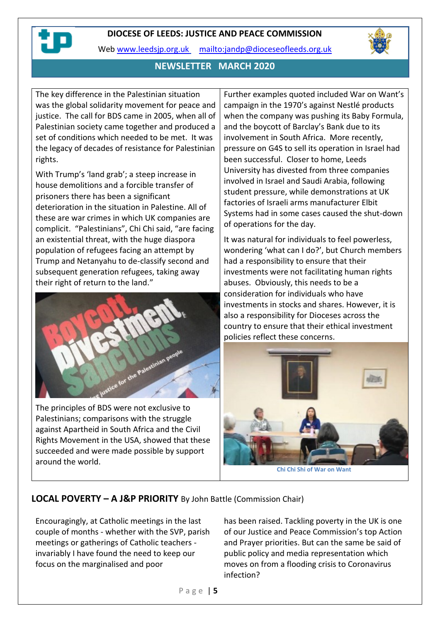#### **DIOCESE OF LEEDS: JUSTICE AND PEACE COMMISSION**



Web [www.leedsjp.org.uk](http://www.leedsjp.org.uk/) <mailto:jandp@dioceseofleeds.org.uk>



# **NEWSLETTER MARCH 2020**

The key difference in the Palestinian situation was the global solidarity movement for peace and justice. The call for BDS came in 2005, when all of Palestinian society came together and produced a set of conditions which needed to be met. It was the legacy of decades of resistance for Palestinian rights.

With Trump's 'land grab'; a steep increase in house demolitions and a forcible transfer of prisoners there has been a significant deterioration in the situation in Palestine. All of these are war crimes in which UK companies are complicit. "Palestinians", Chi Chi said, "are facing an existential threat, with the huge diaspora population of refugees facing an attempt by Trump and Netanyahu to de-classify second and subsequent generation refugees, taking away their right of return to the land."



The principles of BDS were not exclusive to Palestinians; comparisons with the struggle against Apartheid in South Africa and the Civil Rights Movement in the USA, showed that these succeeded and were made possible by support around the world.

Further examples quoted included War on Want's campaign in the 1970's against Nestlé products when the company was pushing its Baby Formula, and the boycott of Barclay's Bank due to its involvement in South Africa. More recently, pressure on G4S to sell its operation in Israel had been successful. Closer to home, Leeds University has divested from three companies involved in Israel and Saudi Arabia, following student pressure, while demonstrations at UK factories of Israeli arms manufacturer Elbit Systems had in some cases caused the shut-down of operations for the day.

It was natural for individuals to feel powerless, wondering 'what can I do?', but Church members had a responsibility to ensure that their investments were not facilitating human rights abuses. Obviously, this needs to be a consideration for individuals who have investments in stocks and shares. However, it is also a responsibility for Dioceses across the country to ensure that their ethical investment policies reflect these concerns.



# **LOCAL POVERTY – A J&P PRIORITY** By John Battle (Commission Chair)

Encouragingly, at Catholic meetings in the last couple of months - whether with the SVP, parish meetings or gatherings of Catholic teachers invariably I have found the need to keep our focus on the marginalised and poor

has been raised. Tackling poverty in the UK is one of our Justice and Peace Commission's top Action and Prayer priorities. But can the same be said of public policy and media representation which moves on from a flooding crisis to Coronavirus infection?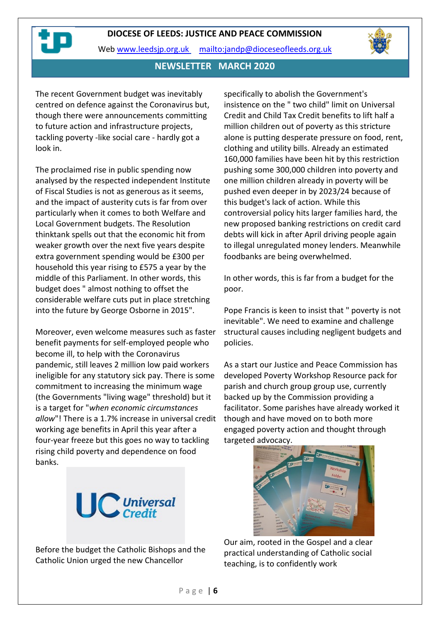



#### **NEWSLETTER MARCH 2020**

The recent Government budget was inevitably centred on defence against the Coronavirus but, though there were announcements committing to future action and infrastructure projects, tackling poverty -like social care - hardly got a look in.

The proclaimed rise in public spending now analysed by the respected independent Institute of Fiscal Studies is not as generous as it seems, and the impact of austerity cuts is far from over particularly when it comes to both Welfare and Local Government budgets. The Resolution thinktank spells out that the economic hit from weaker growth over the next five years despite extra government spending would be £300 per household this year rising to £575 a year by the middle of this Parliament. In other words, this budget does " almost nothing to offset the considerable welfare cuts put in place stretching into the future by George Osborne in 2015".

Moreover, even welcome measures such as faster benefit payments for self-employed people who become ill, to help with the Coronavirus pandemic, still leaves 2 million low paid workers ineligible for any statutory sick pay. There is some commitment to increasing the minimum wage (the Governments "living wage" threshold) but it is a target for "*when economic circumstances allow*"! There is a 1.7% increase in universal credit working age benefits in April this year after a four-year freeze but this goes no way to tackling rising child poverty and dependence on food banks.



Before the budget the Catholic Bishops and the Catholic Union urged the new Chancellor

specifically to abolish the Government's insistence on the " two child" limit on Universal Credit and Child Tax Credit benefits to lift half a million children out of poverty as this stricture alone is putting desperate pressure on food, rent, clothing and utility bills. Already an estimated 160,000 families have been hit by this restriction pushing some 300,000 children into poverty and one million children already in poverty will be pushed even deeper in by 2023/24 because of this budget's lack of action. While this controversial policy hits larger families hard, the new proposed banking restrictions on credit card debts will kick in after April driving people again to illegal unregulated money lenders. Meanwhile foodbanks are being overwhelmed.

In other words, this is far from a budget for the poor.

Pope Francis is keen to insist that " poverty is not inevitable". We need to examine and challenge structural causes including negligent budgets and policies.

As a start our Justice and Peace Commission has developed Poverty Workshop Resource pack for parish and church group group use, currently backed up by the Commission providing a facilitator. Some parishes have already worked it though and have moved on to both more engaged poverty action and thought through targeted advocacy.



Our aim, rooted in the Gospel and a clear practical understanding of Catholic social teaching, is to confidently work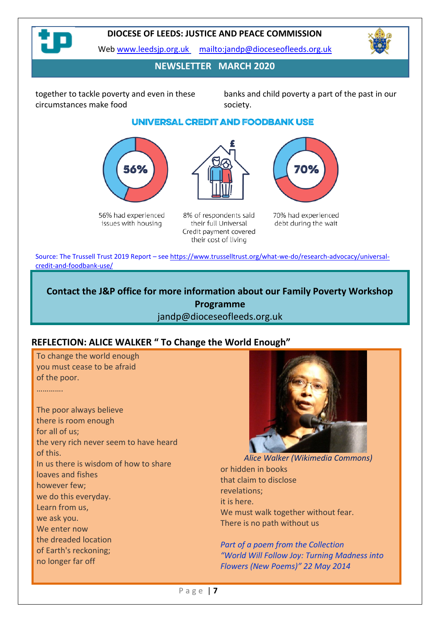

#### **DIOCESE OF LEEDS: JUSTICE AND PEACE COMMISSION**

Web [www.leedsjp.org.uk](http://www.leedsjp.org.uk/) <mailto:jandp@dioceseofleeds.org.uk>



# **NEWSLETTER MARCH 2020**

together to tackle poverty and even in these circumstances make food

banks and child poverty a part of the past in our society.

# UNIVERSAL CREDIT AND FOODBANK USE



56% had experienced issues with housing



8% of respondents said their full Universal Credit payment covered their cost of living



70% had experienced debt during the wait

Source: The Trussell Trust 2019 Report – se[e https://www.trusselltrust.org/what-we-do/research-advocacy/universal](https://www.trusselltrust.org/what-we-do/research-advocacy/universal-credit-and-foodbank-use/)[credit-and-foodbank-use/](https://www.trusselltrust.org/what-we-do/research-advocacy/universal-credit-and-foodbank-use/)

# **Contact the J&P office for more information about our Family Poverty Workshop Programme** jandp@dioceseofleeds.org.uk

# **REFLECTION: ALICE WALKER " To Change the World Enough"**

To change the world enough you must cease to be afraid of the poor.

………….

The poor always believe there is room enough for all of us; the very rich never seem to have heard of this. In us there is wisdom of how to share loaves and fishes however few; we do this everyday. Learn from us, we ask you. We enter now the dreaded location of Earth's reckoning; no longer far off



*Alice Walker (Wikimedia Commons)* or hidden in books that claim to disclose revelations; it is here. We must walk together without fear. There is no path without us

*Part of a poem from the Collection "World Will Follow Joy: Turning Madness into Flowers (New Poems)" 22 May 2014*